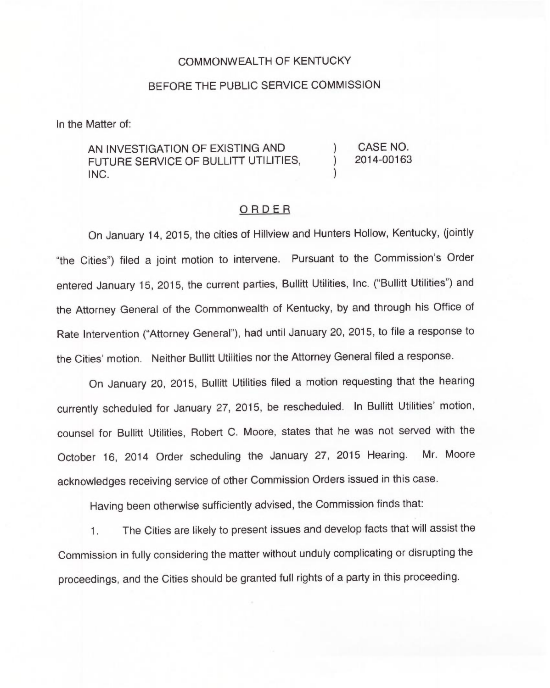## COMMONWEALTH OF KENTUCKY

## BEFORE THE PUBLIC SERVICE COMMISSION

In the Matter of:

AN INVESTIGATION OF EXISTING AND FUTURE SERVICE OF BULLITT UTILITIES, INC.

) CASE NO. 2014-00163

)

)

## ORDER

On January 14, 2015, the cities of Hillview and Hunters Hollow, Kentucky, (jointly "the Cities") filed a joint motion to intervene. Pursuant to the Commission's Orde entered January 15, 2015, the current parties, Bullitt Utilities, Inc. ("Bullitt Utilities") and the Attorney General of the Commonwealth of Kentucky, by and through his Office of Rate Intervention ("Attorney General"), had until January 20, 2015, to file a response to the Cities' motion. Neither Bullitt Utilities nor the Attorney General filed a response.

On January 20, 2015, Bullitt Utilities filed a motion requesting that the hearing currently scheduled for January 27, 2015, be rescheduled. In Bullitt Utilities' motion, counsel for Bullitt Utilities, Robert C. Moore, states that he was not served with the October 16, 2014 Order scheduling the January 27, 2015 Hearing. Mr. Moore acknowledges receiving service of other Commission Orders issued in this case.

Having been otherwise sufficiently advised, the Commission finds that:

1. The Cities are likely to present issues and develop facts that will assist the Commission in fully considering the matter without unduly complicating or disrupting the proceedings, and the Cities should be granted full rights of a party in this proceeding.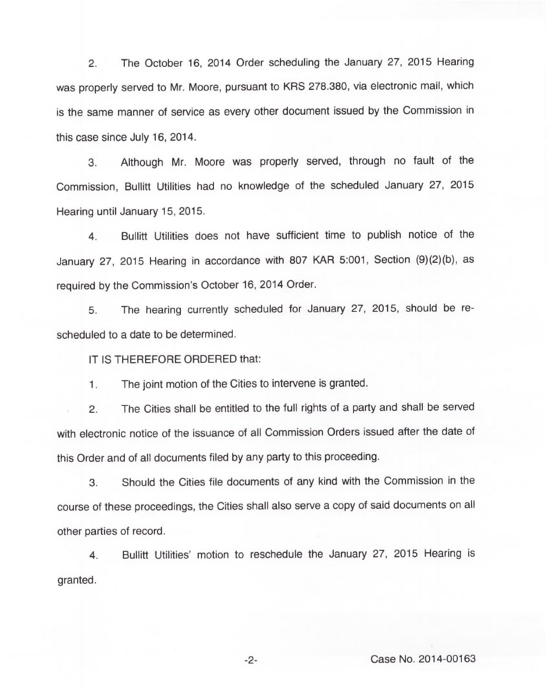2. The October 16, 2014 Order scheduling the January 27, 2015 Hearing was properly served to Mr. Moore, pursuant to KRS 278.380, via electronic mail, which is the same manner of service as every other document issued by the Commission in this case since July 16, 2014.

3. Although Mr. Moore was properly served, through no fault of the Commission, Bullitt Utilities had no knowledge of the scheduled January 27, 2015 Hearing until January 15, 2015.

4. Bullitt Utilities does not have sufficient time to publish notice of the January 27, 2015 Hearing in accordance with 807 KAR 5:001, Section (9)(2)(b), as required by the Commission's October 16, 2014 Order.

5. The hearing currently scheduled for January 27, 2015, should be rescheduled to a date to be determined.

IT IS THEREFORE ORDERED that:

The joint motion of the Cities to intervene is granted.  $1<sub>1</sub>$ 

2. The Cities shall be entitled to the full rights of a party and shall be served with electronic notice of the issuance of all Commission Orders issued after the date of this Order and of all documents filed by any party to this proceeding.

3. Should the Cities file documents of any kind with the Commission in the course of these proceedings, the Cities shall also serve a copy of said documents on all other parties of record.

4. Bullitt Utilities' motion to reschedule the January 27, 2015 Hearing is granted.

 $-2-$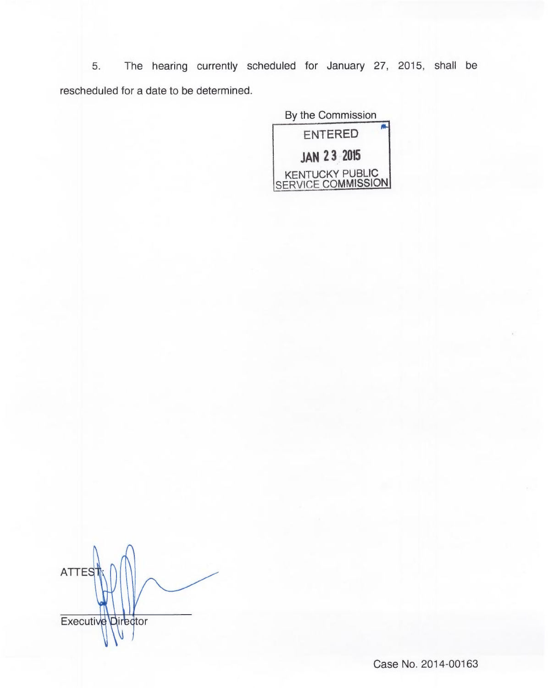5. The hearing currently scheduled for January 27, 2015, shall be rescheduled for a date to be determined.

> By the Commission ENTERED JAN 23 2015 KENTUCKY PUBLIC SERVICE COMMISSION

**ATTES** Executive Director

Case No. 2014-00163